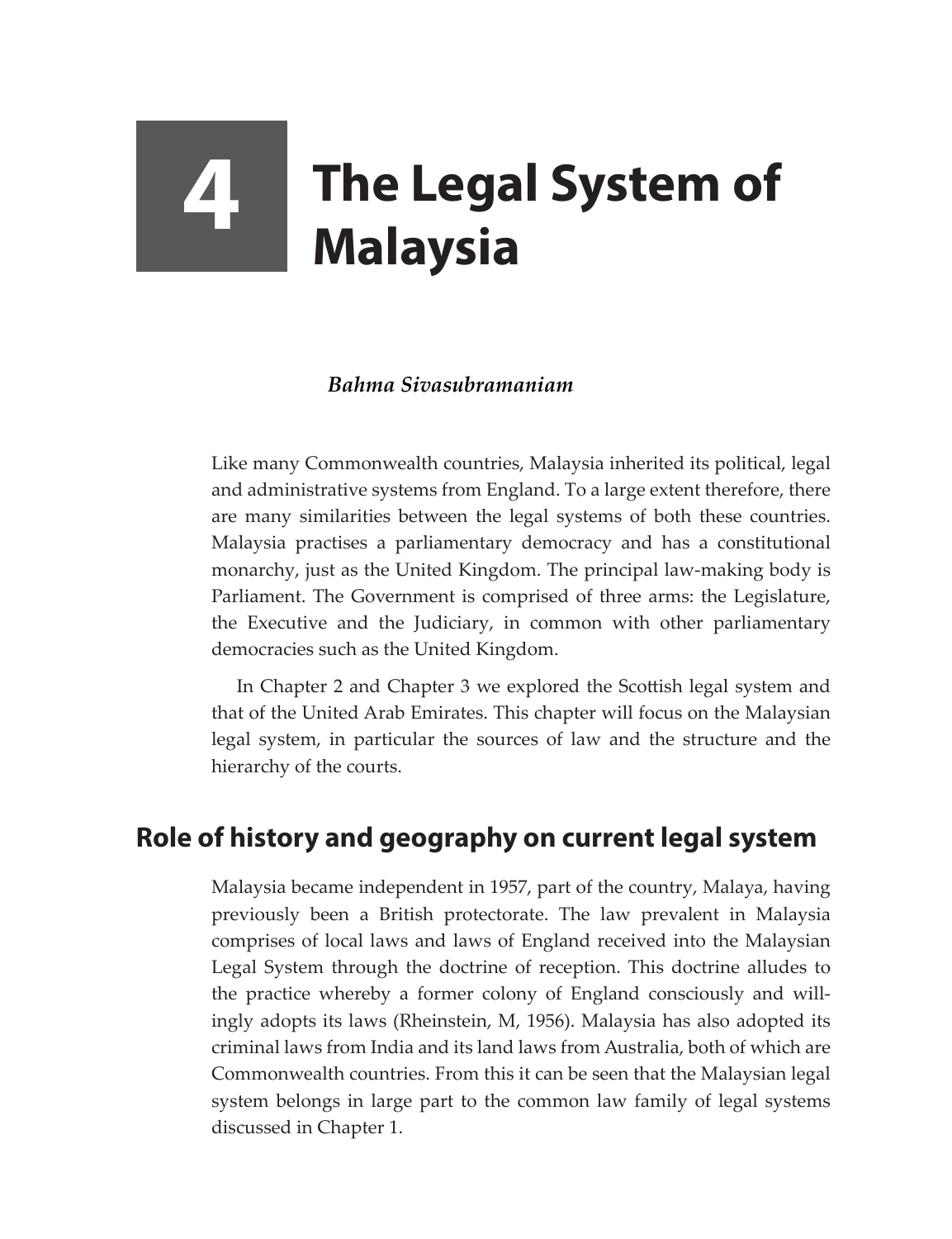# **4 The Legal System of Malaysia**

## *Bahma Sivasubramaniam*

Like many Commonwealth countries, Malaysia inherited its political, legal and administrative systems from England. To a large extent therefore, there are many similarities between the legal systems of both these countries. Malaysia practises a parliamentary democracy and has a constitutional monarchy, just as the United Kingdom. The principal law-making body is Parliament. The Government is comprised of three arms: the Legislature, the Executive and the Judiciary, in common with other parliamentary democracies such as the United Kingdom.

In Chapter 2 and Chapter 3 we explored the Scottish legal system and that of the United Arab Emirates. This chapter will focus on the Malaysian legal system, in particular the sources of law and the structure and the hierarchy of the courts.

# **Role of history and geography on current legal system**

Malaysia became independent in 1957, part of the country, Malaya, having previously been a British protectorate. The law prevalent in Malaysia comprises of local laws and laws of England received into the Malaysian Legal System through the doctrine of reception. This doctrine alludes to the practice whereby a former colony of England consciously and willingly adopts its laws (Rheinstein, M, 1956). Malaysia has also adopted its criminal laws from India and its land laws from Australia, both of which are Commonwealth countries. From this it can be seen that the Malaysian legal system belongs in large part to the common law family of legal systems discussed in Chapter 1.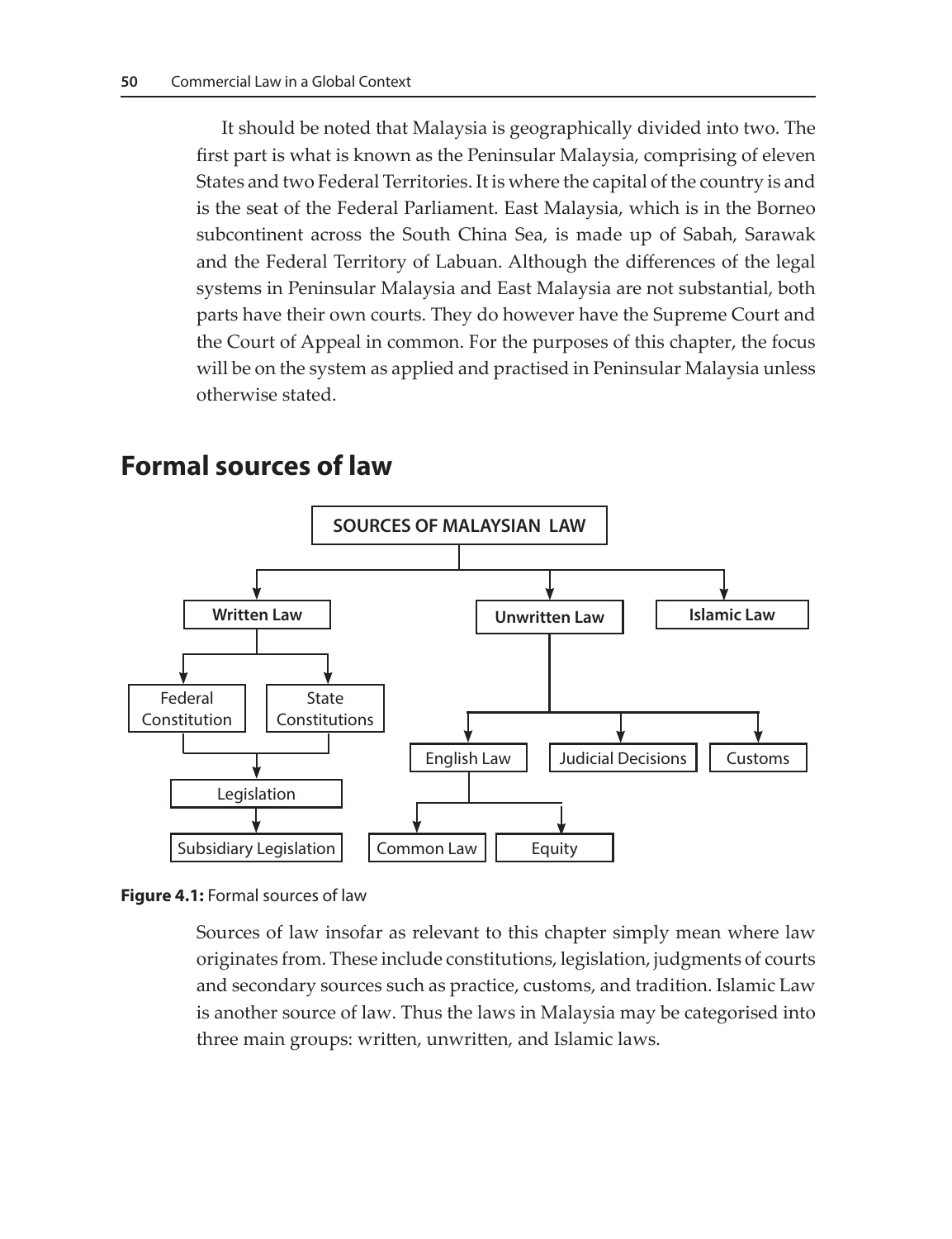It should be noted that Malaysia is geographically divided into two. The first part is what is known as the Peninsular Malaysia, comprising of eleven States and two Federal Territories. It is where the capital of the country is and is the seat of the Federal Parliament. East Malaysia, which is in the Borneo subcontinent across the South China Sea, is made up of Sabah, Sarawak and the Federal Territory of Labuan. Although the differences of the legal systems in Peninsular Malaysia and East Malaysia are not substantial, both parts have their own courts. They do however have the Supreme Court and the Court of Appeal in common. For the purposes of this chapter, the focus will be on the system as applied and practised in Peninsular Malaysia unless otherwise stated.



## **Formal sources of law**

**Figure 4.1:** Formal sources of law

Sources of law insofar as relevant to this chapter simply mean where law originates from. These include constitutions, legislation, judgments of courts and secondary sources such as practice, customs, and tradition. Islamic Law is another source of law. Thus the laws in Malaysia may be categorised into three main groups: written, unwritten, and Islamic laws.